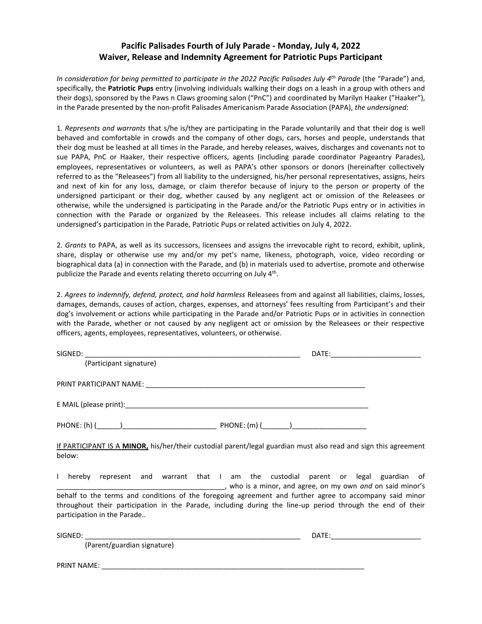## **Pacific Palisades Fourth of July Parade - Monday, July 4, 2022 Waiver, Release and Indemnity Agreement for Patriotic Pups Participant**

*In consideration for being permitted to participate in the 2022 Pacific Palisades July 4th Parade* (the "Parade") and, specifically, the **Patriotic Pups** entry (involving individuals walking their dogs on a leash in a group with others and their dogs), sponsored by the Paws n Claws grooming salon ("PnC") and coordinated by Marilyn Haaker ("Haaker"), in the Parade presented by the non-profit Palisades Americanism Parade Association (PAPA), *the undersigned*:

1. *Represents and warrants* that s/he is/they are participating in the Parade voluntarily and that their dog is well behaved and comfortable in crowds and the company of other dogs, cars, horses and people, understands that their dog must be leashed at all times in the Parade, and hereby releases, waives, discharges and covenants not to sue PAPA, PnC or Haaker, their respective officers, agents (including parade coordinator Pageantry Parades), employees, representatives or volunteers, as well as PAPA's other sponsors or donors (hereinafter collectively referred to as the "Releasees") from all liability to the undersigned, his/her personal representatives, assigns, heirs and next of kin for any loss, damage, or claim therefor because of injury to the person or property of the undersigned participant or their dog, whether caused by any negligent act or omission of the Releasees or otherwise, while the undersigned is participating in the Parade and/or the Patriotic Pups entry or in activities in connection with the Parade or organized by the Releasees. This release includes all claims relating to the undersigned's participation in the Parade, Patriotic Pups or related activities on July 4, 2022.

2. *Grants* to PAPA, as well as its successors, licensees and assigns the irrevocable right to record, exhibit, uplink, share, display or otherwise use my and/or my pet's name, likeness, photograph, voice, video recording or biographical data (a) in connection with the Parade, and (b) in materials used to advertise, promote and otherwise publicize the Parade and events relating thereto occurring on July 4<sup>th</sup>.

2. *Agrees to indemnify, defend, protect, and hold harmless* Releasees from and against all liabilities, claims, losses, damages, demands, causes of action, charges, expenses, and attorneys' fees resulting from Participant's and their dog's involvement or actions while participating in the Parade and/or Patriotic Pups or in activities in connection with the Parade, whether or not caused by any negligent act or omission by the Releasees or their respective officers, agents, employees, representatives, volunteers, or otherwise.

| (Participant signature)     |                                                                                                                                                                                                                       |
|-----------------------------|-----------------------------------------------------------------------------------------------------------------------------------------------------------------------------------------------------------------------|
|                             |                                                                                                                                                                                                                       |
|                             |                                                                                                                                                                                                                       |
|                             |                                                                                                                                                                                                                       |
| below:                      | If PARTICIPANT IS A MINOR, his/her/their custodial parent/legal guardian must also read and sign this agreement                                                                                                       |
|                             | I hereby represent and warrant that I am the custodial parent or legal guardian of                                                                                                                                    |
| participation in the Parade | behalf to the terms and conditions of the foregoing agreement and further agree to accompany said minor<br>throughout their participation in the Parade, including during the line-up period through the end of their |
| SIGNED:                     | DATE:                                                                                                                                                                                                                 |

(Parent/guardian signature)

PRINT NAME: \_\_